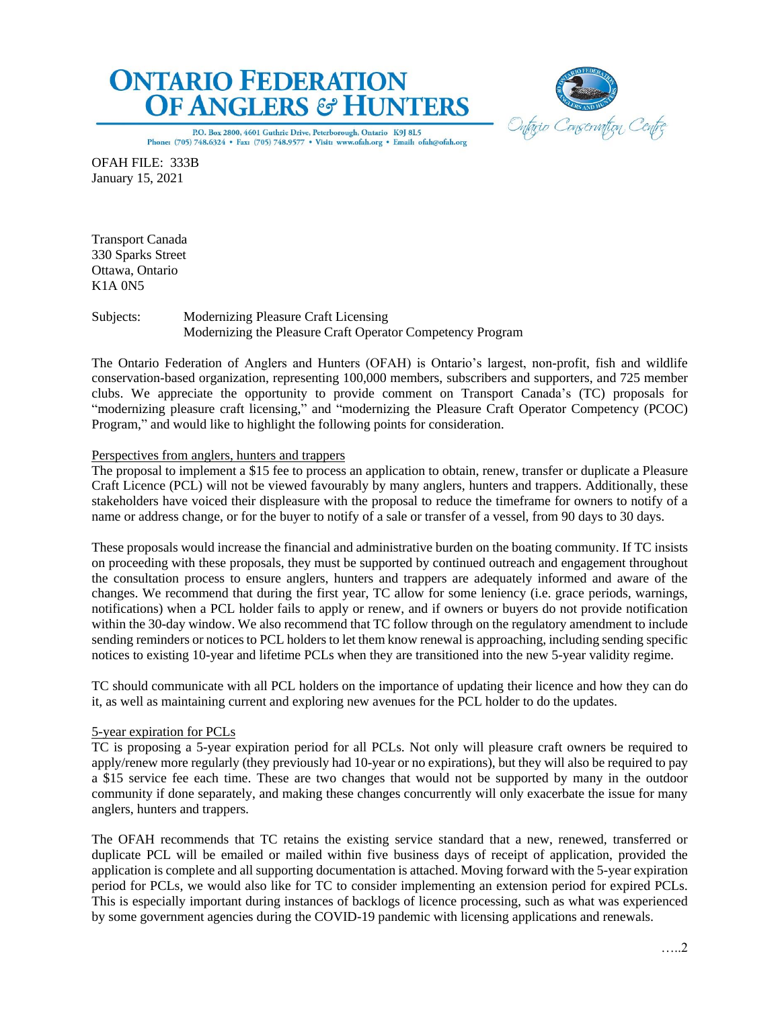



P.O. Box 2800, 4601 Guthrie Drive, Peterborough, Ontario K9J 8L5 Phone: (705) 748.6324 . Fax: (705) 748.9577 . Visit: www.ofah.org . Email: ofah@ofah.org

OFAH FILE: 333B January 15, 2021

Transport Canada 330 Sparks Street Ottawa, Ontario K1A 0N5

Subjects: Modernizing Pleasure Craft Licensing Modernizing the Pleasure Craft Operator Competency Program

The Ontario Federation of Anglers and Hunters (OFAH) is Ontario's largest, non-profit, fish and wildlife conservation-based organization, representing 100,000 members, subscribers and supporters, and 725 member clubs. We appreciate the opportunity to provide comment on Transport Canada's (TC) proposals for "modernizing pleasure craft licensing," and "modernizing the Pleasure Craft Operator Competency (PCOC) Program," and would like to highlight the following points for consideration.

# Perspectives from anglers, hunters and trappers

The proposal to implement a \$15 fee to process an application to obtain, renew, transfer or duplicate a Pleasure Craft Licence (PCL) will not be viewed favourably by many anglers, hunters and trappers. Additionally, these stakeholders have voiced their displeasure with the proposal to reduce the timeframe for owners to notify of a name or address change, or for the buyer to notify of a sale or transfer of a vessel, from 90 days to 30 days.

These proposals would increase the financial and administrative burden on the boating community. If TC insists on proceeding with these proposals, they must be supported by continued outreach and engagement throughout the consultation process to ensure anglers, hunters and trappers are adequately informed and aware of the changes. We recommend that during the first year, TC allow for some leniency (i.e. grace periods, warnings, notifications) when a PCL holder fails to apply or renew, and if owners or buyers do not provide notification within the 30-day window. We also recommend that TC follow through on the regulatory amendment to include sending reminders or notices to PCL holders to let them know renewal is approaching, including sending specific notices to existing 10-year and lifetime PCLs when they are transitioned into the new 5-year validity regime.

TC should communicate with all PCL holders on the importance of updating their licence and how they can do it, as well as maintaining current and exploring new avenues for the PCL holder to do the updates.

## 5-year expiration for PCLs

TC is proposing a 5-year expiration period for all PCLs. Not only will pleasure craft owners be required to apply/renew more regularly (they previously had 10-year or no expirations), but they will also be required to pay a \$15 service fee each time. These are two changes that would not be supported by many in the outdoor community if done separately, and making these changes concurrently will only exacerbate the issue for many anglers, hunters and trappers.

The OFAH recommends that TC retains the existing service standard that a new, renewed, transferred or duplicate PCL will be emailed or mailed within five business days of receipt of application, provided the application is complete and all supporting documentation is attached. Moving forward with the 5-year expiration period for PCLs, we would also like for TC to consider implementing an extension period for expired PCLs. This is especially important during instances of backlogs of licence processing, such as what was experienced by some government agencies during the COVID-19 pandemic with licensing applications and renewals.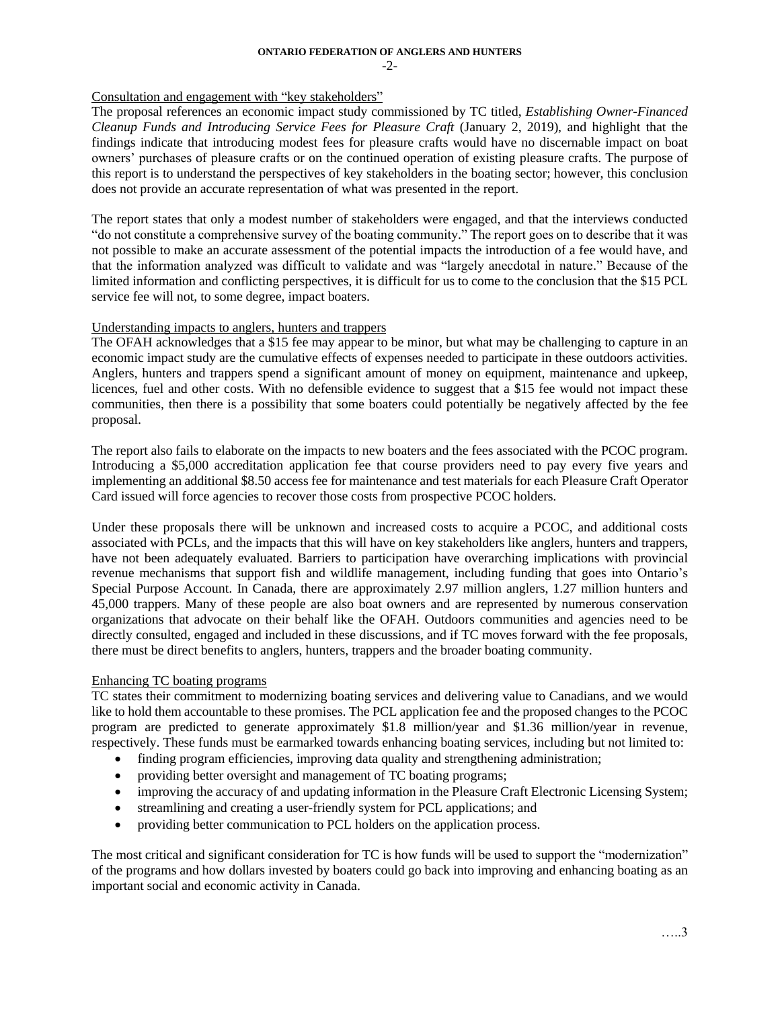# Consultation and engagement with "key stakeholders"

The proposal references an economic impact study commissioned by TC titled, *Establishing Owner-Financed Cleanup Funds and Introducing Service Fees for Pleasure Craft* (January 2, 2019), and highlight that the findings indicate that introducing modest fees for pleasure crafts would have no discernable impact on boat owners' purchases of pleasure crafts or on the continued operation of existing pleasure crafts. The purpose of this report is to understand the perspectives of key stakeholders in the boating sector; however, this conclusion does not provide an accurate representation of what was presented in the report.

The report states that only a modest number of stakeholders were engaged, and that the interviews conducted "do not constitute a comprehensive survey of the boating community." The report goes on to describe that it was not possible to make an accurate assessment of the potential impacts the introduction of a fee would have, and that the information analyzed was difficult to validate and was "largely anecdotal in nature." Because of the limited information and conflicting perspectives, it is difficult for us to come to the conclusion that the \$15 PCL service fee will not, to some degree, impact boaters.

## Understanding impacts to anglers, hunters and trappers

The OFAH acknowledges that a \$15 fee may appear to be minor, but what may be challenging to capture in an economic impact study are the cumulative effects of expenses needed to participate in these outdoors activities. Anglers, hunters and trappers spend a significant amount of money on equipment, maintenance and upkeep, licences, fuel and other costs. With no defensible evidence to suggest that a \$15 fee would not impact these communities, then there is a possibility that some boaters could potentially be negatively affected by the fee proposal.

The report also fails to elaborate on the impacts to new boaters and the fees associated with the PCOC program. Introducing a \$5,000 accreditation application fee that course providers need to pay every five years and implementing an additional \$8.50 access fee for maintenance and test materials for each Pleasure Craft Operator Card issued will force agencies to recover those costs from prospective PCOC holders.

Under these proposals there will be unknown and increased costs to acquire a PCOC, and additional costs associated with PCLs, and the impacts that this will have on key stakeholders like anglers, hunters and trappers, have not been adequately evaluated. Barriers to participation have overarching implications with provincial revenue mechanisms that support fish and wildlife management, including funding that goes into Ontario's Special Purpose Account. In Canada, there are approximately 2.97 million anglers, 1.27 million hunters and 45,000 trappers. Many of these people are also boat owners and are represented by numerous conservation organizations that advocate on their behalf like the OFAH. Outdoors communities and agencies need to be directly consulted, engaged and included in these discussions, and if TC moves forward with the fee proposals, there must be direct benefits to anglers, hunters, trappers and the broader boating community.

## Enhancing TC boating programs

TC states their commitment to modernizing boating services and delivering value to Canadians, and we would like to hold them accountable to these promises. The PCL application fee and the proposed changes to the PCOC program are predicted to generate approximately \$1.8 million/year and \$1.36 million/year in revenue, respectively. These funds must be earmarked towards enhancing boating services, including but not limited to:

- finding program efficiencies, improving data quality and strengthening administration;
- providing better oversight and management of TC boating programs;
- improving the accuracy of and updating information in the Pleasure Craft Electronic Licensing System;
- streamlining and creating a user-friendly system for PCL applications; and
- providing better communication to PCL holders on the application process.

The most critical and significant consideration for TC is how funds will be used to support the "modernization" of the programs and how dollars invested by boaters could go back into improving and enhancing boating as an important social and economic activity in Canada.